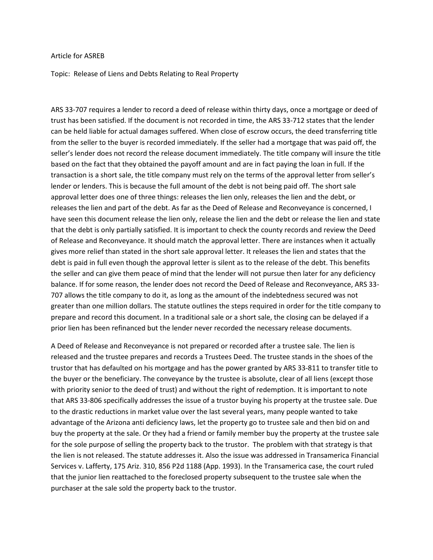## Article for ASREB

Topic: Release of Liens and Debts Relating to Real Property

ARS 33-707 requires a lender to record a deed of release within thirty days, once a mortgage or deed of trust has been satisfied. If the document is not recorded in time, the ARS 33-712 states that the lender can be held liable for actual damages suffered. When close of escrow occurs, the deed transferring title from the seller to the buyer is recorded immediately. If the seller had a mortgage that was paid off, the seller's lender does not record the release document immediately. The title company will insure the title based on the fact that they obtained the payoff amount and are in fact paying the loan in full. If the transaction is a short sale, the title company must rely on the terms of the approval letter from seller's lender or lenders. This is because the full amount of the debt is not being paid off. The short sale approval letter does one of three things: releases the lien only, releases the lien and the debt, or releases the lien and part of the debt. As far as the Deed of Release and Reconveyance is concerned, I have seen this document release the lien only, release the lien and the debt or release the lien and state that the debt is only partially satisfied. It is important to check the county records and review the Deed of Release and Reconveyance. It should match the approval letter. There are instances when it actually gives more relief than stated in the short sale approval letter. It releases the lien and states that the debt is paid in full even though the approval letter is silent as to the release of the debt. This benefits the seller and can give them peace of mind that the lender will not pursue then later for any deficiency balance. If for some reason, the lender does not record the Deed of Release and Reconveyance, ARS 33- 707 allows the title company to do it, as long as the amount of the indebtedness secured was not greater than one million dollars. The statute outlines the steps required in order for the title company to prepare and record this document. In a traditional sale or a short sale, the closing can be delayed if a prior lien has been refinanced but the lender never recorded the necessary release documents.

A Deed of Release and Reconveyance is not prepared or recorded after a trustee sale. The lien is released and the trustee prepares and records a Trustees Deed. The trustee stands in the shoes of the trustor that has defaulted on his mortgage and has the power granted by ARS 33-811 to transfer title to the buyer or the beneficiary. The conveyance by the trustee is absolute, clear of all liens (except those with priority senior to the deed of trust) and without the right of redemption. It is important to note that ARS 33-806 specifically addresses the issue of a trustor buying his property at the trustee sale. Due to the drastic reductions in market value over the last several years, many people wanted to take advantage of the Arizona anti deficiency laws, let the property go to trustee sale and then bid on and buy the property at the sale. Or they had a friend or family member buy the property at the trustee sale for the sole purpose of selling the property back to the trustor. The problem with that strategy is that the lien is not released. The statute addresses it. Also the issue was addressed in Transamerica Financial Services v. Lafferty, 175 Ariz. 310, 856 P2d 1188 (App. 1993). In the Transamerica case, the court ruled that the junior lien reattached to the foreclosed property subsequent to the trustee sale when the purchaser at the sale sold the property back to the trustor.